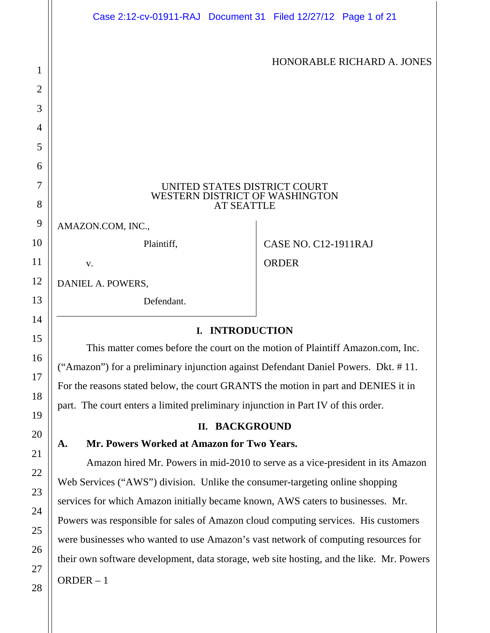<span id="page-0-0"></span>

|          | Case 2:12-cv-01911-RAJ Document 31 Filed 12/27/12 Page 1 of 21                           |                             |
|----------|------------------------------------------------------------------------------------------|-----------------------------|
|          |                                                                                          | HONORABLE RICHARD A. JONES  |
| 1        |                                                                                          |                             |
| 2        |                                                                                          |                             |
| 3        |                                                                                          |                             |
| 4<br>5   |                                                                                          |                             |
| 6        |                                                                                          |                             |
| 7        | UNITED STATES DISTRICT COURT                                                             |                             |
| 8        | WESTERN DISTRICT OF WASHINGTON<br><b>AT SEATTLE</b>                                      |                             |
| 9        | AMAZON.COM, INC.,                                                                        |                             |
| 10       | Plaintiff,                                                                               | <b>CASE NO. C12-1911RAJ</b> |
| 11       | V.                                                                                       | <b>ORDER</b>                |
| 12       | DANIEL A. POWERS,                                                                        |                             |
| 13       | Defendant.                                                                               |                             |
| 14       | I. INTRODUCTION                                                                          |                             |
| 15       | This matter comes before the court on the motion of Plaintiff Amazon.com, Inc.           |                             |
| 16       | ("Amazon") for a preliminary injunction against Defendant Daniel Powers. Dkt. #11.       |                             |
| 17       | For the reasons stated below, the court GRANTS the motion in part and DENIES it in       |                             |
| 18       | part. The court enters a limited preliminary injunction in Part IV of this order.        |                             |
| 19<br>20 | II. BACKGROUND                                                                           |                             |
| 21       | Mr. Powers Worked at Amazon for Two Years.<br>A.                                         |                             |
| 22       | Amazon hired Mr. Powers in mid-2010 to serve as a vice-president in its Amazon           |                             |
| 23       | Web Services ("AWS") division. Unlike the consumer-targeting online shopping             |                             |
| 24       | services for which Amazon initially became known, AWS caters to businesses. Mr.          |                             |
| 25       | Powers was responsible for sales of Amazon cloud computing services. His customers       |                             |
| 26       | were businesses who wanted to use Amazon's vast network of computing resources for       |                             |
| 27       | their own software development, data storage, web site hosting, and the like. Mr. Powers |                             |
| 28       | $ORDER - 1$                                                                              |                             |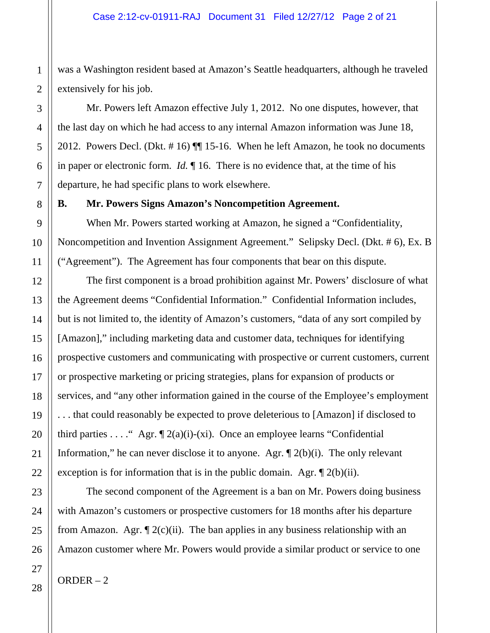was a Washington resident based at Amazon's Seattle headquarters, although he traveled extensively for his job.

Mr. Powers left Amazon effective July 1, 2012. No one disputes, however, that the last day on which he had access to any internal Amazon information was June 18, 2012. Powers Decl. (Dkt. # 16) ¶¶ 15-16. When he left Amazon, he took no documents in paper or electronic form. *Id.* ¶ 16. There is no evidence that, at the time of his departure, he had specific plans to work elsewhere.

#### **B. Mr. Powers Signs Amazon's Noncompetition Agreement.**

When Mr. Powers started working at Amazon, he signed a "Confidentiality, Noncompetition and Invention Assignment Agreement." Selipsky Decl. (Dkt. # 6), Ex. B ("Agreement"). The Agreement has four components that bear on this dispute.

The first component is a broad prohibition against Mr. Powers' disclosure of what the Agreement deems "Confidential Information." Confidential Information includes, but is not limited to, the identity of Amazon's customers, "data of any sort compiled by [Amazon]," including marketing data and customer data, techniques for identifying prospective customers and communicating with prospective or current customers, current or prospective marketing or pricing strategies, plans for expansion of products or services, and "any other information gained in the course of the Employee's employment . . . that could reasonably be expected to prove deleterious to [Amazon] if disclosed to third parties . . . . " Agr.  $\P$  2(a)(i)-(xi). Once an employee learns "Confidential Information," he can never disclose it to anyone. Agr.  $\P$  2(b)(i). The only relevant exception is for information that is in the public domain. Agr.  $\mathbb{I}$  2(b)(ii).

The second component of the Agreement is a ban on Mr. Powers doing business with Amazon's customers or prospective customers for 18 months after his departure from Amazon. Agr.  $\mathbb{I}2(c)(ii)$ . The ban applies in any business relationship with an Amazon customer where Mr. Powers would provide a similar product or service to one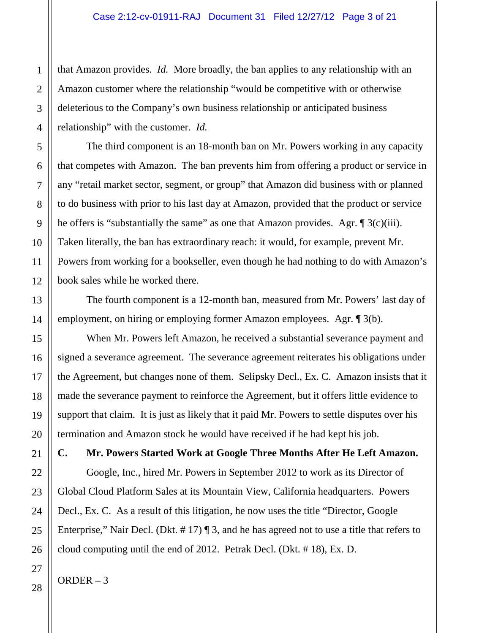that Amazon provides. *Id.* More broadly, the ban applies to any relationship with an Amazon customer where the relationship "would be competitive with or otherwise deleterious to the Company's own business relationship or anticipated business relationship" with the customer. *Id.*

The third component is an 18-month ban on Mr. Powers working in any capacity that competes with Amazon. The ban prevents him from offering a product or service in any "retail market sector, segment, or group" that Amazon did business with or planned to do business with prior to his last day at Amazon, provided that the product or service he offers is "substantially the same" as one that Amazon provides. Agr.  $\mathcal{B}$  3(c)(iii). Taken literally, the ban has extraordinary reach: it would, for example, prevent Mr. Powers from working for a bookseller, even though he had nothing to do with Amazon's book sales while he worked there.

The fourth component is a 12-month ban, measured from Mr. Powers' last day of employment, on hiring or employing former Amazon employees. Agr. ¶ 3(b).

When Mr. Powers left Amazon, he received a substantial severance payment and signed a severance agreement. The severance agreement reiterates his obligations under the Agreement, but changes none of them. Selipsky Decl., Ex. C. Amazon insists that it made the severance payment to reinforce the Agreement, but it offers little evidence to support that claim. It is just as likely that it paid Mr. Powers to settle disputes over his termination and Amazon stock he would have received if he had kept his job.

**C. Mr. Powers Started Work at Google Three Months After He Left Amazon.** Google, Inc., hired Mr. Powers in September 2012 to work as its Director of Global Cloud Platform Sales at its Mountain View, California headquarters. Powers Decl., Ex. C. As a result of this litigation, he now uses the title "Director, Google Enterprise," Nair Decl. (Dkt. #17) ¶ 3, and he has agreed not to use a title that refers to cloud computing until the end of 2012. Petrak Decl. (Dkt. # 18), Ex. D.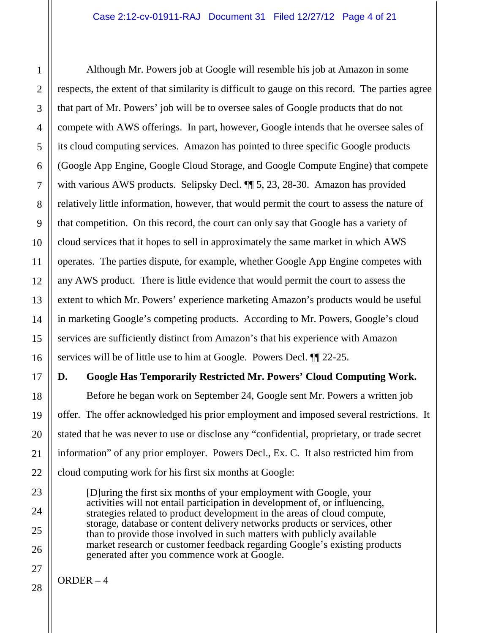Although Mr. Powers job at Google will resemble his job at Amazon in some respects, the extent of that similarity is difficult to gauge on this record. The parties agree that part of Mr. Powers' job will be to oversee sales of Google products that do not compete with AWS offerings. In part, however, Google intends that he oversee sales of its cloud computing services. Amazon has pointed to three specific Google products (Google App Engine, Google Cloud Storage, and Google Compute Engine) that compete with various AWS products. Selipsky Decl.  $\P$  5, 23, 28-30. Amazon has provided relatively little information, however, that would permit the court to assess the nature of that competition. On this record, the court can only say that Google has a variety of cloud services that it hopes to sell in approximately the same market in which AWS operates. The parties dispute, for example, whether Google App Engine competes with any AWS product. There is little evidence that would permit the court to assess the extent to which Mr. Powers' experience marketing Amazon's products would be useful in marketing Google's competing products. According to Mr. Powers, Google's cloud services are sufficiently distinct from Amazon's that his experience with Amazon services will be of little use to him at Google. Powers Decl. ¶¶ 22-25.

**D. Google Has Temporarily Restricted Mr. Powers' Cloud Computing Work.**

Before he began work on September 24, Google sent Mr. Powers a written job offer. The offer acknowledged his prior employment and imposed several restrictions. It stated that he was never to use or disclose any "confidential, proprietary, or trade secret information" of any prior employer. Powers Decl., Ex. C. It also restricted him from cloud computing work for his first six months at Google:

[D]uring the first six months of your employment with Google, your activities will not entail participation in development of, or influencing, strategies related to product development in the areas of cloud compute, storage, database or content delivery networks products or services, other than to provide those involved in such matters with publicly available market research or customer feedback regarding Google's existing products generated after you commence work at Google.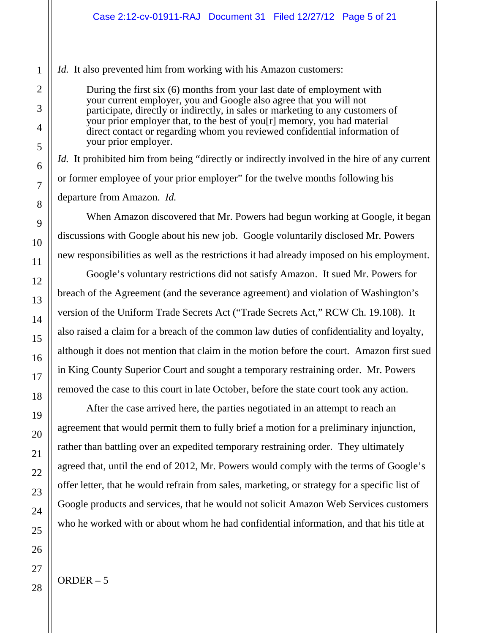## *Id.* It also prevented him from working with his Amazon customers:

During the first six (6) months from your last date of employment with your current employer, you and Google also agree that you will not participate, directly or indirectly, in sales or marketing to any customers of your prior employer that, to the best of you[r] memory, you had material direct contact or regarding whom you reviewed confidential information of your prior employer.

*Id.* It prohibited him from being "directly or indirectly involved in the hire of any current or former employee of your prior employer" for the twelve months following his departure from Amazon. *Id.*

When Amazon discovered that Mr. Powers had begun working at Google, it began discussions with Google about his new job. Google voluntarily disclosed Mr. Powers new responsibilities as well as the restrictions it had already imposed on his employment.

Google's voluntary restrictions did not satisfy Amazon. It sued Mr. Powers for breach of the Agreement (and the severance agreement) and violation of Washington's version of the Uniform Trade Secrets Act ("Trade Secrets Act," RCW Ch. 19.108). It also raised a claim for a breach of the common law duties of confidentiality and loyalty, although it does not mention that claim in the motion before the court. Amazon first sued in King County Superior Court and sought a temporary restraining order. Mr. Powers removed the case to this court in late October, before the state court took any action.

After the case arrived here, the parties negotiated in an attempt to reach an agreement that would permit them to fully brief a motion for a preliminary injunction, rather than battling over an expedited temporary restraining order. They ultimately agreed that, until the end of 2012, Mr. Powers would comply with the terms of Google's offer letter, that he would refrain from sales, marketing, or strategy for a specific list of Google products and services, that he would not solicit Amazon Web Services customers who he worked with or about whom he had confidential information, and that his title at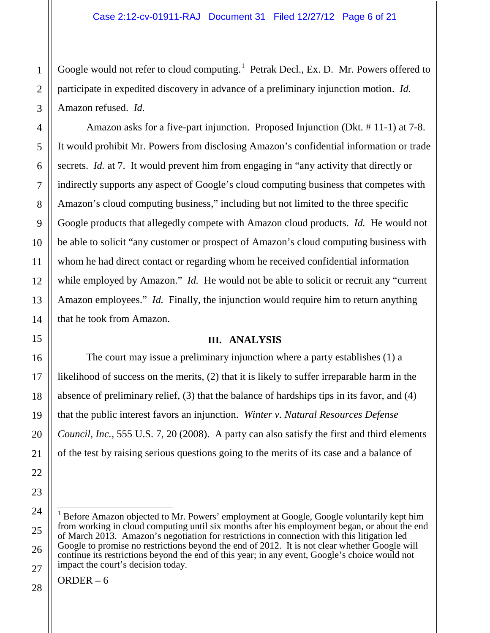Google would not refer to cloud computing.<sup>[1](#page-0-0)</sup> Petrak Decl., Ex. D. Mr. Powers offered to participate in expedited discovery in advance of a preliminary injunction motion. *Id.* Amazon refused. *Id.*

Amazon asks for a five-part injunction. Proposed Injunction (Dkt. # 11-1) at 7-8. It would prohibit Mr. Powers from disclosing Amazon's confidential information or trade secrets. *Id.* at 7. It would prevent him from engaging in "any activity that directly or indirectly supports any aspect of Google's cloud computing business that competes with Amazon's cloud computing business," including but not limited to the three specific Google products that allegedly compete with Amazon cloud products. *Id.* He would not be able to solicit "any customer or prospect of Amazon's cloud computing business with whom he had direct contact or regarding whom he received confidential information while employed by Amazon." *Id.* He would not be able to solicit or recruit any "current" Amazon employees." *Id.* Finally, the injunction would require him to return anything that he took from Amazon.

## **III. ANALYSIS**

The court may issue a preliminary injunction where a party establishes (1) a likelihood of success on the merits, (2) that it is likely to suffer irreparable harm in the absence of preliminary relief, (3) that the balance of hardships tips in its favor, and (4) that the public interest favors an injunction. *Winter v. Natural Resources Defense Council, Inc.*, 555 U.S. 7, 20 (2008). A party can also satisfy the first and third elements of the test by raising serious questions going to the merits of its case and a balance of

<span id="page-5-0"></span> $1$  Before Amazon objected to Mr. Powers' employment at Google, Google voluntarily kept him from working in cloud computing until six months after his employment began, or about the end of March 2013. Amazon's negotiation for restrictions in connection with this litigation led Google to promise no restrictions beyond the end of 2012. It is not clear whether Google will continue its restrictions beyond the end of this year; in any event, Google's choice would not impact the court's decision today.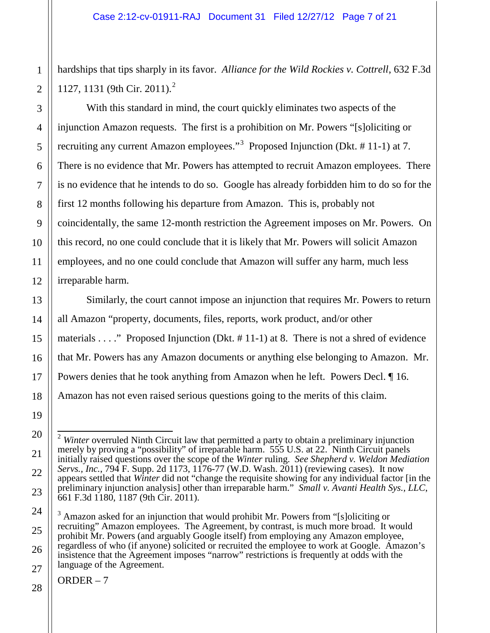hardships that tips sharply in its favor. *Alliance for the Wild Rockies v. Cottrell*, 632 F.3d 1127, 1131 (9th Cir. 2011).[2](#page-5-0)

With this standard in mind, the court quickly eliminates two aspects of the injunction Amazon requests. The first is a prohibition on Mr. Powers "[s]oliciting or recruiting any current Amazon employees."<sup>[3](#page-6-0)</sup> Proposed Injunction (Dkt.  $\#$  11-1) at 7. There is no evidence that Mr. Powers has attempted to recruit Amazon employees. There is no evidence that he intends to do so. Google has already forbidden him to do so for the first 12 months following his departure from Amazon. This is, probably not coincidentally, the same 12-month restriction the Agreement imposes on Mr. Powers. On this record, no one could conclude that it is likely that Mr. Powers will solicit Amazon employees, and no one could conclude that Amazon will suffer any harm, much less irreparable harm.

Similarly, the court cannot impose an injunction that requires Mr. Powers to return all Amazon "property, documents, files, reports, work product, and/or other materials  $\dots$  " Proposed Injunction (Dkt. #11-1) at 8. There is not a shred of evidence that Mr. Powers has any Amazon documents or anything else belonging to Amazon. Mr. Powers denies that he took anything from Amazon when he left. Powers Decl. ¶ 16. Amazon has not even raised serious questions going to the merits of this claim.

<sup>&</sup>lt;sup>2</sup> *Winter* overruled Ninth Circuit law that permitted a party to obtain a preliminary injunction merely by proving a "possibility" of irreparable harm. 555 U.S. at 22. Ninth Circuit panels initially raised questions over the scope of the *Winter* ruling. *See Shepherd v. Weldon Mediation Servs., Inc., 794 F. Supp. 2d 1173, 1176-77 (W.D. Wash. 2011) (reviewing cases). It now* appears settled that *Winter* did not "change the requisite showing for any individual factor [in the preliminary injunction analysis] other than irreparable harm." *Small v. Avanti Health Sys., LLC*, 661 F.3d 1180, 1187 (9th Cir. 2011).

<span id="page-6-1"></span><span id="page-6-0"></span> $3$  Amazon asked for an injunction that would prohibit Mr. Powers from "[s]oliciting or recruiting" Amazon employees. The Agreement, by contrast, is much more broad. It would prohibit Mr. Powers (and arguably Google itself) from employing any Amazon employee, regardless of who (if anyone) solicited or recruited the employee to work at Google. Amazon's insistence that the Agreement imposes "narrow" restrictions is frequently at odds with the language of the Agreement.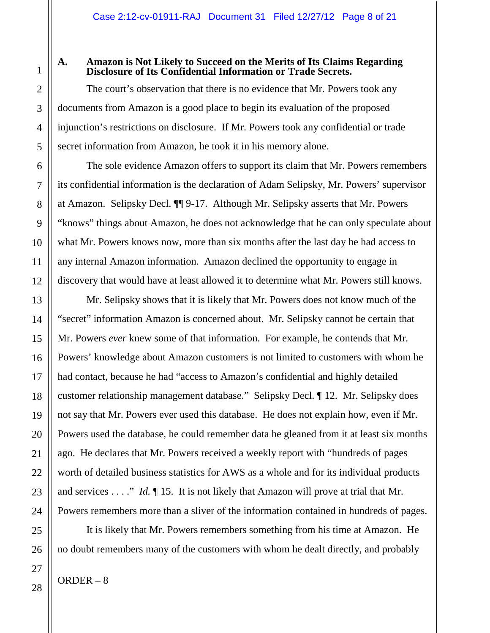## **A. Amazon is Not Likely to Succeed on the Merits of Its Claims Regarding Disclosure of Its Confidential Information or Trade Secrets.**

The court's observation that there is no evidence that Mr. Powers took any documents from Amazon is a good place to begin its evaluation of the proposed injunction's restrictions on disclosure. If Mr. Powers took any confidential or trade secret information from Amazon, he took it in his memory alone.

The sole evidence Amazon offers to support its claim that Mr. Powers remembers its confidential information is the declaration of Adam Selipsky, Mr. Powers' supervisor at Amazon. Selipsky Decl. ¶¶ 9-17. Although Mr. Selipsky asserts that Mr. Powers "knows" things about Amazon, he does not acknowledge that he can only speculate about what Mr. Powers knows now, more than six months after the last day he had access to any internal Amazon information. Amazon declined the opportunity to engage in discovery that would have at least allowed it to determine what Mr. Powers still knows.

Mr. Selipsky shows that it is likely that Mr. Powers does not know much of the "secret" information Amazon is concerned about. Mr. Selipsky cannot be certain that Mr. Powers *ever* knew some of that information. For example, he contends that Mr. Powers' knowledge about Amazon customers is not limited to customers with whom he had contact, because he had "access to Amazon's confidential and highly detailed customer relationship management database." Selipsky Decl. ¶ 12. Mr. Selipsky does not say that Mr. Powers ever used this database. He does not explain how, even if Mr. Powers used the database, he could remember data he gleaned from it at least six months ago. He declares that Mr. Powers received a weekly report with "hundreds of pages worth of detailed business statistics for AWS as a whole and for its individual products and services . . . ." *Id.* ¶ 15. It is not likely that Amazon will prove at trial that Mr. Powers remembers more than a sliver of the information contained in hundreds of pages.

It is likely that Mr. Powers remembers something from his time at Amazon. He no doubt remembers many of the customers with whom he dealt directly, and probably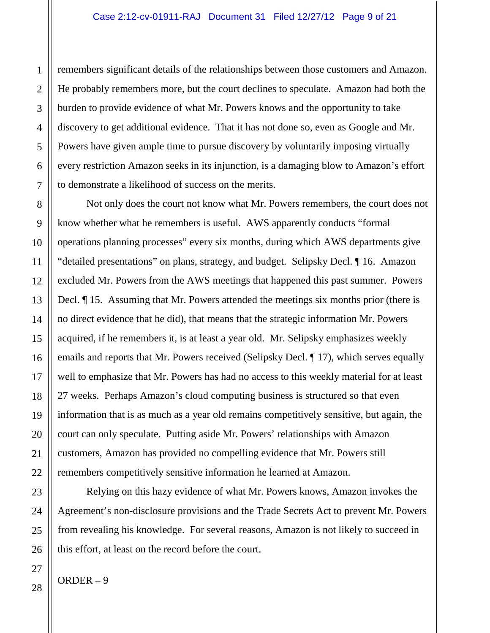remembers significant details of the relationships between those customers and Amazon. He probably remembers more, but the court declines to speculate. Amazon had both the burden to provide evidence of what Mr. Powers knows and the opportunity to take discovery to get additional evidence. That it has not done so, even as Google and Mr. Powers have given ample time to pursue discovery by voluntarily imposing virtually every restriction Amazon seeks in its injunction, is a damaging blow to Amazon's effort to demonstrate a likelihood of success on the merits.

Not only does the court not know what Mr. Powers remembers, the court does not know whether what he remembers is useful. AWS apparently conducts "formal operations planning processes" every six months, during which AWS departments give "detailed presentations" on plans, strategy, and budget. Selipsky Decl. ¶ 16. Amazon excluded Mr. Powers from the AWS meetings that happened this past summer. Powers Decl. ¶ 15. Assuming that Mr. Powers attended the meetings six months prior (there is no direct evidence that he did), that means that the strategic information Mr. Powers acquired, if he remembers it, is at least a year old. Mr. Selipsky emphasizes weekly emails and reports that Mr. Powers received (Selipsky Decl. ¶ 17), which serves equally well to emphasize that Mr. Powers has had no access to this weekly material for at least 27 weeks. Perhaps Amazon's cloud computing business is structured so that even information that is as much as a year old remains competitively sensitive, but again, the court can only speculate. Putting aside Mr. Powers' relationships with Amazon customers, Amazon has provided no compelling evidence that Mr. Powers still remembers competitively sensitive information he learned at Amazon.

Relying on this hazy evidence of what Mr. Powers knows, Amazon invokes the Agreement's non-disclosure provisions and the Trade Secrets Act to prevent Mr. Powers from revealing his knowledge. For several reasons, Amazon is not likely to succeed in this effort, at least on the record before the court.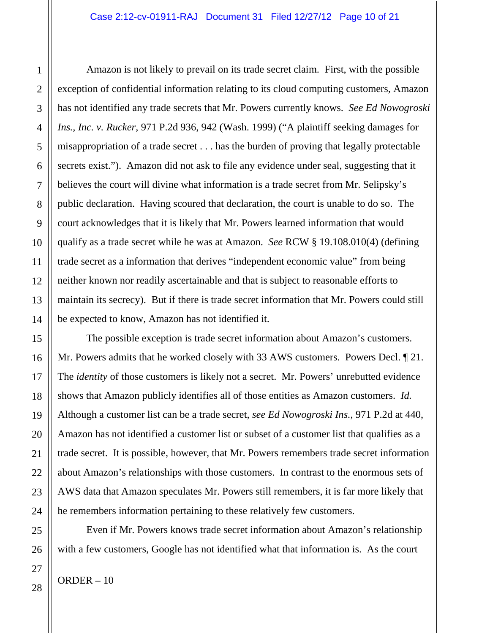Amazon is not likely to prevail on its trade secret claim. First, with the possible exception of confidential information relating to its cloud computing customers, Amazon has not identified any trade secrets that Mr. Powers currently knows. *See Ed Nowogroski Ins., Inc. v. Rucker*, 971 P.2d 936, 942 (Wash. 1999) ("A plaintiff seeking damages for misappropriation of a trade secret . . . has the burden of proving that legally protectable secrets exist."). Amazon did not ask to file any evidence under seal, suggesting that it believes the court will divine what information is a trade secret from Mr. Selipsky's public declaration. Having scoured that declaration, the court is unable to do so. The court acknowledges that it is likely that Mr. Powers learned information that would qualify as a trade secret while he was at Amazon. *See* RCW § 19.108.010(4) (defining trade secret as a information that derives "independent economic value" from being neither known nor readily ascertainable and that is subject to reasonable efforts to maintain its secrecy). But if there is trade secret information that Mr. Powers could still be expected to know, Amazon has not identified it.

The possible exception is trade secret information about Amazon's customers. Mr. Powers admits that he worked closely with 33 AWS customers. Powers Decl. ¶ 21. The *identity* of those customers is likely not a secret. Mr. Powers' unrebutted evidence shows that Amazon publicly identifies all of those entities as Amazon customers. *Id.* Although a customer list can be a trade secret, *see Ed Nowogroski Ins.*, 971 P.2d at 440, Amazon has not identified a customer list or subset of a customer list that qualifies as a trade secret. It is possible, however, that Mr. Powers remembers trade secret information about Amazon's relationships with those customers. In contrast to the enormous sets of AWS data that Amazon speculates Mr. Powers still remembers, it is far more likely that he remembers information pertaining to these relatively few customers.

Even if Mr. Powers knows trade secret information about Amazon's relationship with a few customers, Google has not identified what that information is. As the court

1

2

3

4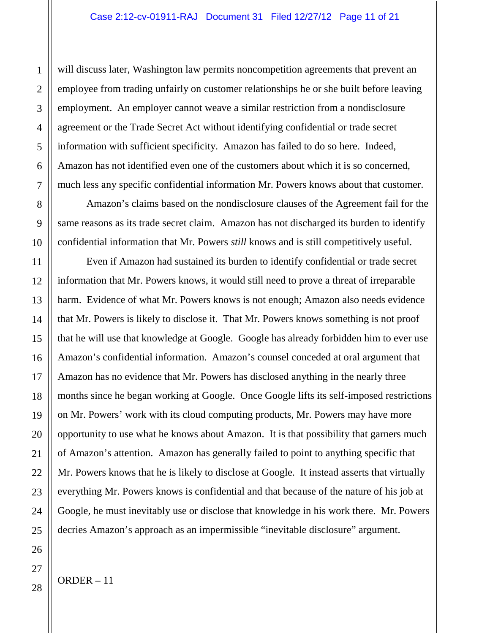will discuss later, Washington law permits noncompetition agreements that prevent an employee from trading unfairly on customer relationships he or she built before leaving employment. An employer cannot weave a similar restriction from a nondisclosure agreement or the Trade Secret Act without identifying confidential or trade secret information with sufficient specificity. Amazon has failed to do so here. Indeed, Amazon has not identified even one of the customers about which it is so concerned, much less any specific confidential information Mr. Powers knows about that customer.

Amazon's claims based on the nondisclosure clauses of the Agreement fail for the same reasons as its trade secret claim. Amazon has not discharged its burden to identify confidential information that Mr. Powers *still* knows and is still competitively useful.

Even if Amazon had sustained its burden to identify confidential or trade secret information that Mr. Powers knows, it would still need to prove a threat of irreparable harm. Evidence of what Mr. Powers knows is not enough; Amazon also needs evidence that Mr. Powers is likely to disclose it. That Mr. Powers knows something is not proof that he will use that knowledge at Google. Google has already forbidden him to ever use Amazon's confidential information. Amazon's counsel conceded at oral argument that Amazon has no evidence that Mr. Powers has disclosed anything in the nearly three months since he began working at Google. Once Google lifts its self-imposed restrictions on Mr. Powers' work with its cloud computing products, Mr. Powers may have more opportunity to use what he knows about Amazon. It is that possibility that garners much of Amazon's attention. Amazon has generally failed to point to anything specific that Mr. Powers knows that he is likely to disclose at Google. It instead asserts that virtually everything Mr. Powers knows is confidential and that because of the nature of his job at Google, he must inevitably use or disclose that knowledge in his work there. Mr. Powers decries Amazon's approach as an impermissible "inevitable disclosure" argument.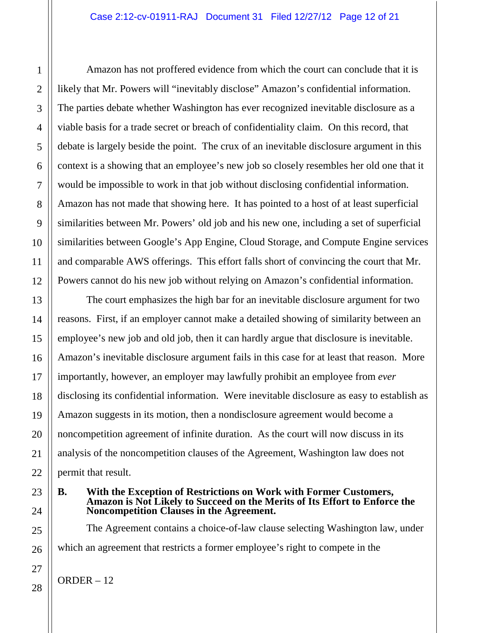Amazon has not proffered evidence from which the court can conclude that it is likely that Mr. Powers will "inevitably disclose" Amazon's confidential information. The parties debate whether Washington has ever recognized inevitable disclosure as a viable basis for a trade secret or breach of confidentiality claim. On this record, that debate is largely beside the point. The crux of an inevitable disclosure argument in this context is a showing that an employee's new job so closely resembles her old one that it would be impossible to work in that job without disclosing confidential information. Amazon has not made that showing here. It has pointed to a host of at least superficial similarities between Mr. Powers' old job and his new one, including a set of superficial similarities between Google's App Engine, Cloud Storage, and Compute Engine services and comparable AWS offerings. This effort falls short of convincing the court that Mr. Powers cannot do his new job without relying on Amazon's confidential information.

The court emphasizes the high bar for an inevitable disclosure argument for two reasons. First, if an employer cannot make a detailed showing of similarity between an employee's new job and old job, then it can hardly argue that disclosure is inevitable. Amazon's inevitable disclosure argument fails in this case for at least that reason. More importantly, however, an employer may lawfully prohibit an employee from *ever* disclosing its confidential information. Were inevitable disclosure as easy to establish as Amazon suggests in its motion, then a nondisclosure agreement would become a noncompetition agreement of infinite duration. As the court will now discuss in its analysis of the noncompetition clauses of the Agreement, Washington law does not permit that result.

**B. With the Exception of Restrictions on Work with Former Customers, Amazon is Not Likely to Succeed on the Merits of Its Effort to Enforce the Noncompetition Clauses in the Agreement.**

The Agreement contains a choice-of-law clause selecting Washington law, under which an agreement that restricts a former employee's right to compete in the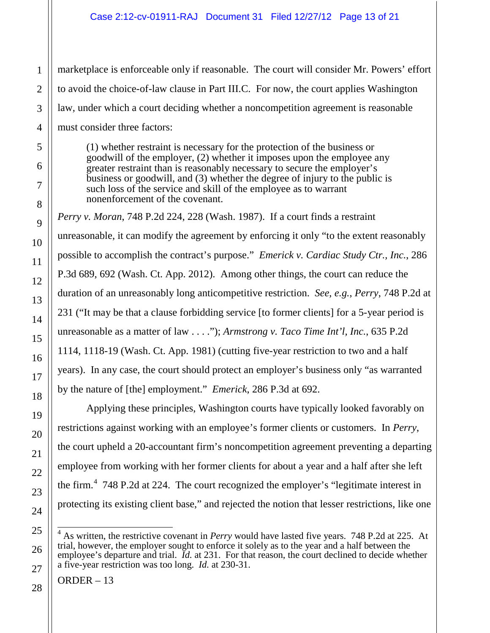marketplace is enforceable only if reasonable. The court will consider Mr. Powers' effort to avoid the choice-of-law clause in Part III.C. For now, the court applies Washington law, under which a court deciding whether a noncompetition agreement is reasonable must consider three factors:

(1) whether restraint is necessary for the protection of the business or goodwill of the employer, (2) whether it imposes upon the employee any greater restraint than is reasonably necessary to secure the employer's business or goodwill, and (3) whether the degree of injury to the public is such loss of the service and skill of the employee as to warrant nonenforcement of the covenant.

*Perry v. Moran*, 748 P.2d 224, 228 (Wash. 1987). If a court finds a restraint unreasonable, it can modify the agreement by enforcing it only "to the extent reasonably possible to accomplish the contract's purpose." *Emerick v. Cardiac Study Ctr., Inc.*, 286 P.3d 689, 692 (Wash. Ct. App. 2012). Among other things, the court can reduce the duration of an unreasonably long anticompetitive restriction. *See*, *e.g.*, *Perry*, 748 P.2d at 231 ("It may be that a clause forbidding service [to former clients] for a 5-year period is unreasonable as a matter of law . . . ."); *Armstrong v. Taco Time Int'l, Inc.*, 635 P.2d 1114, 1118-19 (Wash. Ct. App. 1981) (cutting five-year restriction to two and a half years). In any case, the court should protect an employer's business only "as warranted by the nature of [the] employment." *Emerick*, 286 P.3d at 692.

Applying these principles, Washington courts have typically looked favorably on restrictions against working with an employee's former clients or customers. In *Perry*, the court upheld a 20-accountant firm's noncompetition agreement preventing a departing employee from working with her former clients for about a year and a half after she left the firm.<sup>[4](#page-6-1)</sup> 748 P.2d at 224. The court recognized the employer's "legitimate interest in protecting its existing client base," and rejected the notion that lesser restrictions, like one

<span id="page-12-0"></span> <sup>4</sup> As written, the restrictive covenant in *Perry* would have lasted five years. 748 P.2d at 225. At trial, however, the employer sought to enforce it solely as to the year and a half between the employee's departure and trial. *Id.* at 231. For that reason, the court declined to decide whether a five-year restriction was too long. *Id.* at 230-31.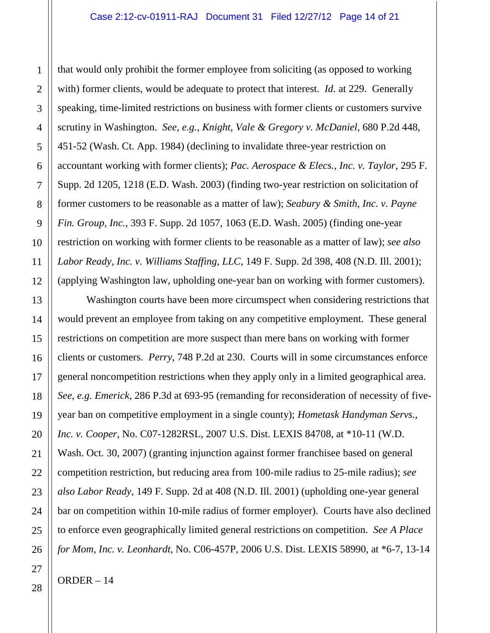that would only prohibit the former employee from soliciting (as opposed to working with) former clients, would be adequate to protect that interest. *Id.* at 229. Generally speaking, time-limited restrictions on business with former clients or customers survive scrutiny in Washington. *See*, *e.g.*, *Knight, Vale & Gregory v. McDaniel*, 680 P.2d 448, 451-52 (Wash. Ct. App. 1984) (declining to invalidate three-year restriction on accountant working with former clients); *Pac. Aerospace & Elecs., Inc. v. Taylor*, 295 F. Supp. 2d 1205, 1218 (E.D. Wash. 2003) (finding two-year restriction on solicitation of former customers to be reasonable as a matter of law); *Seabury & Smith, Inc. v. Payne Fin. Group, Inc.*, 393 F. Supp. 2d 1057, 1063 (E.D. Wash. 2005) (finding one-year restriction on working with former clients to be reasonable as a matter of law); *see also Labor Ready, Inc. v. Williams Staffing, LLC*, 149 F. Supp. 2d 398, 408 (N.D. Ill. 2001); (applying Washington law, upholding one-year ban on working with former customers).

Washington courts have been more circumspect when considering restrictions that would prevent an employee from taking on any competitive employment. These general restrictions on competition are more suspect than mere bans on working with former clients or customers. *Perry*, 748 P.2d at 230. Courts will in some circumstances enforce general noncompetition restrictions when they apply only in a limited geographical area. *See*, *e.g. Emerick*, 286 P.3d at 693-95 (remanding for reconsideration of necessity of fiveyear ban on competitive employment in a single county); *Hometask Handyman Servs., Inc. v. Cooper*, No. C07-1282RSL, 2007 U.S. Dist. LEXIS 84708, at \*10-11 (W.D. Wash. Oct. 30, 2007) (granting injunction against former franchisee based on general competition restriction, but reducing area from 100-mile radius to 25-mile radius); *see also Labor Ready*, 149 F. Supp. 2d at 408 (N.D. Ill. 2001) (upholding one-year general bar on competition within 10-mile radius of former employer). Courts have also declined to enforce even geographically limited general restrictions on competition. *See A Place for Mom, Inc. v. Leonhardt*, No. C06-457P, 2006 U.S. Dist. LEXIS 58990, at \*6-7, 13-14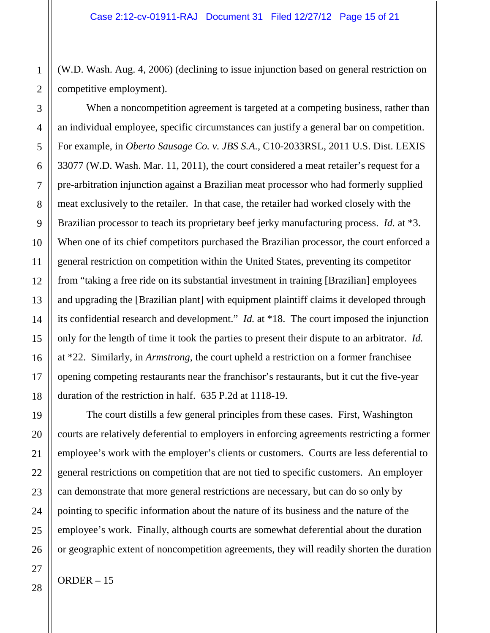(W.D. Wash. Aug. 4, 2006) (declining to issue injunction based on general restriction on competitive employment).

When a noncompetition agreement is targeted at a competing business, rather than an individual employee, specific circumstances can justify a general bar on competition. For example, in *Oberto Sausage Co. v. JBS S.A.*, C10-2033RSL, 2011 U.S. Dist. LEXIS 33077 (W.D. Wash. Mar. 11, 2011), the court considered a meat retailer's request for a pre-arbitration injunction against a Brazilian meat processor who had formerly supplied meat exclusively to the retailer. In that case, the retailer had worked closely with the Brazilian processor to teach its proprietary beef jerky manufacturing process. *Id.* at \*3. When one of its chief competitors purchased the Brazilian processor, the court enforced a general restriction on competition within the United States, preventing its competitor from "taking a free ride on its substantial investment in training [Brazilian] employees and upgrading the [Brazilian plant] with equipment plaintiff claims it developed through its confidential research and development." *Id.* at \*18. The court imposed the injunction only for the length of time it took the parties to present their dispute to an arbitrator. *Id.* at \*22. Similarly, in *Armstrong*, the court upheld a restriction on a former franchisee opening competing restaurants near the franchisor's restaurants, but it cut the five-year duration of the restriction in half. 635 P.2d at 1118-19.

The court distills a few general principles from these cases. First, Washington courts are relatively deferential to employers in enforcing agreements restricting a former employee's work with the employer's clients or customers. Courts are less deferential to general restrictions on competition that are not tied to specific customers. An employer can demonstrate that more general restrictions are necessary, but can do so only by pointing to specific information about the nature of its business and the nature of the employee's work. Finally, although courts are somewhat deferential about the duration or geographic extent of noncompetition agreements, they will readily shorten the duration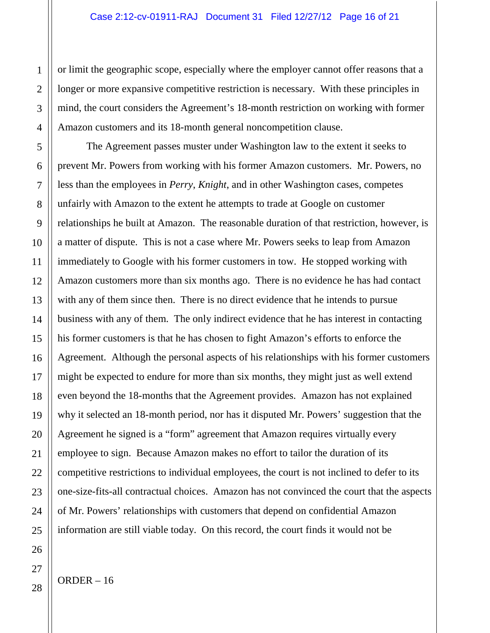or limit the geographic scope, especially where the employer cannot offer reasons that a longer or more expansive competitive restriction is necessary. With these principles in mind, the court considers the Agreement's 18-month restriction on working with former Amazon customers and its 18-month general noncompetition clause.

The Agreement passes muster under Washington law to the extent it seeks to prevent Mr. Powers from working with his former Amazon customers. Mr. Powers, no less than the employees in *Perry*, *Knight*, and in other Washington cases, competes unfairly with Amazon to the extent he attempts to trade at Google on customer relationships he built at Amazon. The reasonable duration of that restriction, however, is a matter of dispute. This is not a case where Mr. Powers seeks to leap from Amazon immediately to Google with his former customers in tow. He stopped working with Amazon customers more than six months ago. There is no evidence he has had contact with any of them since then. There is no direct evidence that he intends to pursue business with any of them. The only indirect evidence that he has interest in contacting his former customers is that he has chosen to fight Amazon's efforts to enforce the Agreement. Although the personal aspects of his relationships with his former customers might be expected to endure for more than six months, they might just as well extend even beyond the 18-months that the Agreement provides. Amazon has not explained why it selected an 18-month period, nor has it disputed Mr. Powers' suggestion that the Agreement he signed is a "form" agreement that Amazon requires virtually every employee to sign. Because Amazon makes no effort to tailor the duration of its competitive restrictions to individual employees, the court is not inclined to defer to its one-size-fits-all contractual choices. Amazon has not convinced the court that the aspects of Mr. Powers' relationships with customers that depend on confidential Amazon information are still viable today. On this record, the court finds it would not be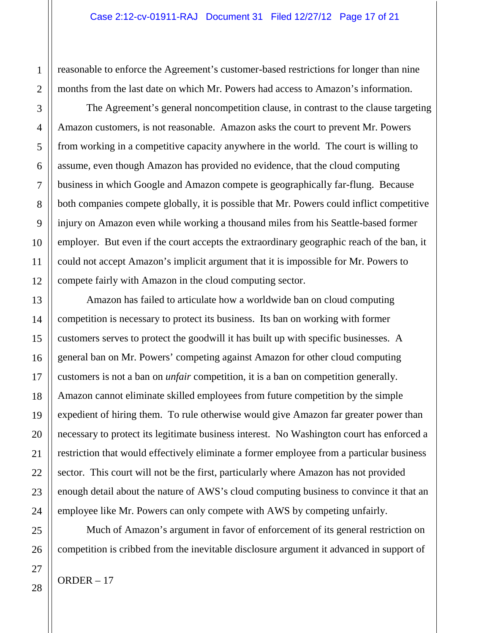reasonable to enforce the Agreement's customer-based restrictions for longer than nine months from the last date on which Mr. Powers had access to Amazon's information.

The Agreement's general noncompetition clause, in contrast to the clause targeting Amazon customers, is not reasonable. Amazon asks the court to prevent Mr. Powers from working in a competitive capacity anywhere in the world. The court is willing to assume, even though Amazon has provided no evidence, that the cloud computing business in which Google and Amazon compete is geographically far-flung. Because both companies compete globally, it is possible that Mr. Powers could inflict competitive injury on Amazon even while working a thousand miles from his Seattle-based former employer. But even if the court accepts the extraordinary geographic reach of the ban, it could not accept Amazon's implicit argument that it is impossible for Mr. Powers to compete fairly with Amazon in the cloud computing sector.

Amazon has failed to articulate how a worldwide ban on cloud computing competition is necessary to protect its business. Its ban on working with former customers serves to protect the goodwill it has built up with specific businesses. A general ban on Mr. Powers' competing against Amazon for other cloud computing customers is not a ban on *unfair* competition, it is a ban on competition generally. Amazon cannot eliminate skilled employees from future competition by the simple expedient of hiring them. To rule otherwise would give Amazon far greater power than necessary to protect its legitimate business interest. No Washington court has enforced a restriction that would effectively eliminate a former employee from a particular business sector. This court will not be the first, particularly where Amazon has not provided enough detail about the nature of AWS's cloud computing business to convince it that an employee like Mr. Powers can only compete with AWS by competing unfairly.

Much of Amazon's argument in favor of enforcement of its general restriction on competition is cribbed from the inevitable disclosure argument it advanced in support of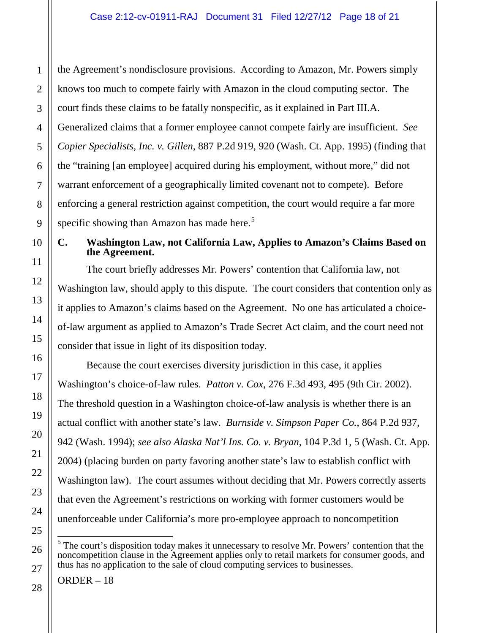the Agreement's nondisclosure provisions. According to Amazon, Mr. Powers simply knows too much to compete fairly with Amazon in the cloud computing sector. The court finds these claims to be fatally nonspecific, as it explained in Part III.A. Generalized claims that a former employee cannot compete fairly are insufficient. *See Copier Specialists, Inc. v. Gillen*, 887 P.2d 919, 920 (Wash. Ct. App. 1995) (finding that the "training [an employee] acquired during his employment, without more," did not warrant enforcement of a geographically limited covenant not to compete). Before enforcing a general restriction against competition, the court would require a far more specific showing than Amazon has made here.<sup>[5](#page-12-0)</sup>

## **C. Washington Law, not California Law, Applies to Amazon's Claims Based on the Agreement.**

The court briefly addresses Mr. Powers' contention that California law, not Washington law, should apply to this dispute. The court considers that contention only as it applies to Amazon's claims based on the Agreement. No one has articulated a choiceof-law argument as applied to Amazon's Trade Secret Act claim, and the court need not consider that issue in light of its disposition today.

Because the court exercises diversity jurisdiction in this case, it applies Washington's choice-of-law rules. *Patton v. Cox*, 276 F.3d 493, 495 (9th Cir. 2002). The threshold question in a Washington choice-of-law analysis is whether there is an actual conflict with another state's law. *Burnside v. Simpson Paper Co.*, 864 P.2d 937, 942 (Wash. 1994); *see also Alaska Nat'l Ins. Co. v. Bryan*, 104 P.3d 1, 5 (Wash. Ct. App. 2004) (placing burden on party favoring another state's law to establish conflict with Washington law). The court assumes without deciding that Mr. Powers correctly asserts that even the Agreement's restrictions on working with former customers would be unenforceable under California's more pro-employee approach to noncompetition

<sup>&</sup>lt;sup>5</sup> The court's disposition today makes it unnecessary to resolve Mr. Powers' contention that the noncompetition clause in the Agreement applies only to retail markets for consumer goods, and thus has no application to the sale of cloud computing services to businesses.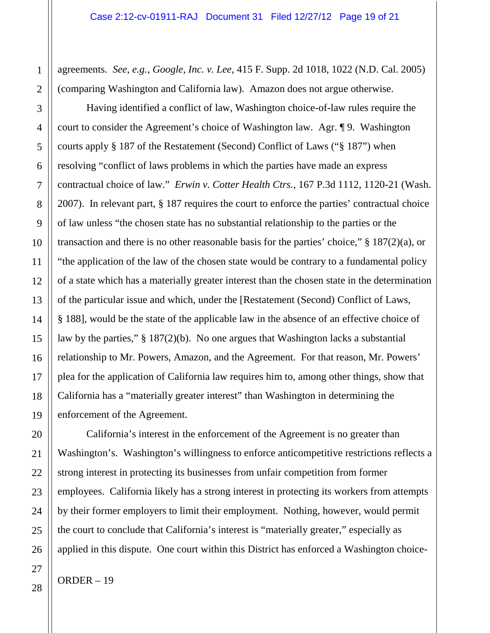agreements. *See*, *e.g.*, *Google, Inc. v. Lee*, 415 F. Supp. 2d 1018, 1022 (N.D. Cal. 2005) (comparing Washington and California law). Amazon does not argue otherwise.

Having identified a conflict of law, Washington choice-of-law rules require the court to consider the Agreement's choice of Washington law. Agr. ¶ 9. Washington courts apply § 187 of the Restatement (Second) Conflict of Laws ("§ 187") when resolving "conflict of laws problems in which the parties have made an express contractual choice of law." *Erwin v. Cotter Health Ctrs.*, 167 P.3d 1112, 1120-21 (Wash. 2007). In relevant part, § 187 requires the court to enforce the parties' contractual choice of law unless "the chosen state has no substantial relationship to the parties or the transaction and there is no other reasonable basis for the parties' choice," § 187(2)(a), or "the application of the law of the chosen state would be contrary to a fundamental policy of a state which has a materially greater interest than the chosen state in the determination of the particular issue and which, under the [Restatement (Second) Conflict of Laws, § 188], would be the state of the applicable law in the absence of an effective choice of law by the parties," § 187(2)(b). No one argues that Washington lacks a substantial relationship to Mr. Powers, Amazon, and the Agreement. For that reason, Mr. Powers' plea for the application of California law requires him to, among other things, show that California has a "materially greater interest" than Washington in determining the enforcement of the Agreement.

California's interest in the enforcement of the Agreement is no greater than Washington's. Washington's willingness to enforce anticompetitive restrictions reflects a strong interest in protecting its businesses from unfair competition from former employees. California likely has a strong interest in protecting its workers from attempts by their former employers to limit their employment. Nothing, however, would permit the court to conclude that California's interest is "materially greater," especially as applied in this dispute. One court within this District has enforced a Washington choice-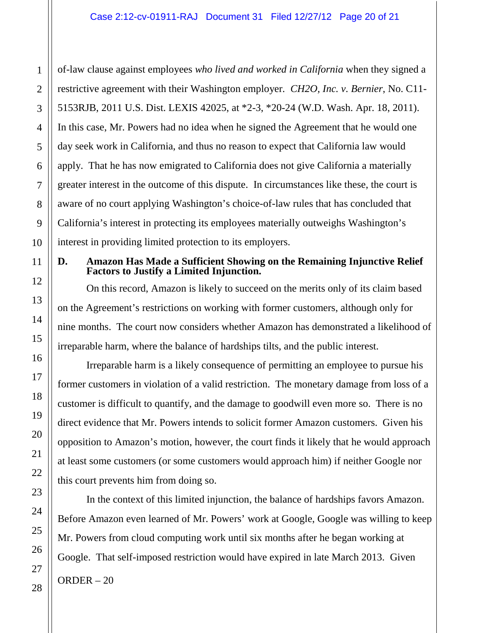of-law clause against employees *who lived and worked in California* when they signed a restrictive agreement with their Washington employer. *CH2O, Inc. v. Bernier*, No. C11- 5153RJB, 2011 U.S. Dist. LEXIS 42025, at \*2-3, \*20-24 (W.D. Wash. Apr. 18, 2011). In this case, Mr. Powers had no idea when he signed the Agreement that he would one day seek work in California, and thus no reason to expect that California law would apply. That he has now emigrated to California does not give California a materially greater interest in the outcome of this dispute. In circumstances like these, the court is aware of no court applying Washington's choice-of-law rules that has concluded that California's interest in protecting its employees materially outweighs Washington's interest in providing limited protection to its employers.

## **D. Amazon Has Made a Sufficient Showing on the Remaining Injunctive Relief Factors to Justify a Limited Injunction.**

On this record, Amazon is likely to succeed on the merits only of its claim based on the Agreement's restrictions on working with former customers, although only for nine months. The court now considers whether Amazon has demonstrated a likelihood of irreparable harm, where the balance of hardships tilts, and the public interest.

Irreparable harm is a likely consequence of permitting an employee to pursue his former customers in violation of a valid restriction. The monetary damage from loss of a customer is difficult to quantify, and the damage to goodwill even more so. There is no direct evidence that Mr. Powers intends to solicit former Amazon customers. Given his opposition to Amazon's motion, however, the court finds it likely that he would approach at least some customers (or some customers would approach him) if neither Google nor this court prevents him from doing so.

ORDER – 20 In the context of this limited injunction, the balance of hardships favors Amazon. Before Amazon even learned of Mr. Powers' work at Google, Google was willing to keep Mr. Powers from cloud computing work until six months after he began working at Google. That self-imposed restriction would have expired in late March 2013. Given